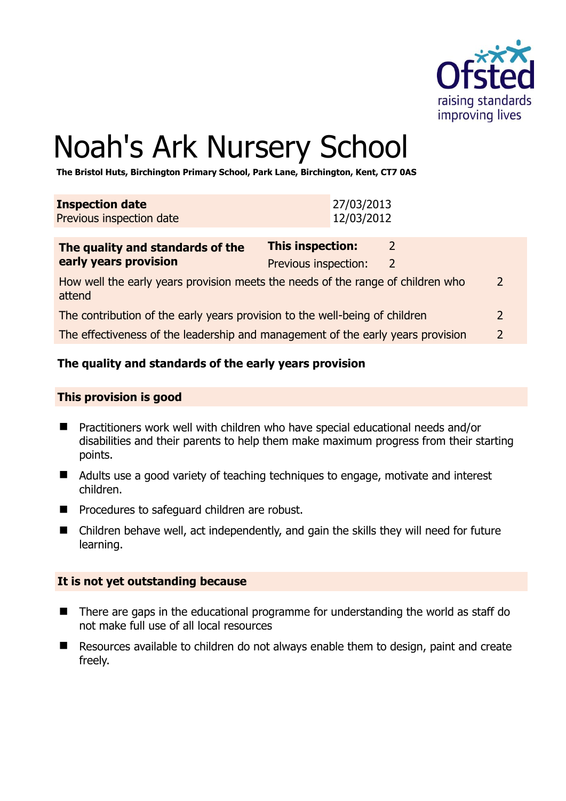

# Noah's Ark Nursery School

**The Bristol Huts, Birchington Primary School, Park Lane, Birchington, Kent, CT7 0AS** 

| <b>Inspection date</b><br>Previous inspection date        | 27/03/2013<br>12/03/2012                 |  |
|-----------------------------------------------------------|------------------------------------------|--|
| The quality and standards of the<br>early years provision | This inspection:<br>Previous inspection: |  |

How well the early years provision meets the needs of the range of children who attend 2 The contribution of the early years provision to the well-being of children 2

The effectiveness of the leadership and management of the early years provision 2

#### **The quality and standards of the early years provision**

#### **This provision is good**

- Practitioners work well with children who have special educational needs and/or disabilities and their parents to help them make maximum progress from their starting points.
- Adults use a good variety of teaching techniques to engage, motivate and interest children.
- **Perocedures to safeguard children are robust.**
- Children behave well, act independently, and gain the skills they will need for future learning.

#### **It is not yet outstanding because**

- There are gaps in the educational programme for understanding the world as staff do not make full use of all local resources
- Resources available to children do not always enable them to design, paint and create freely.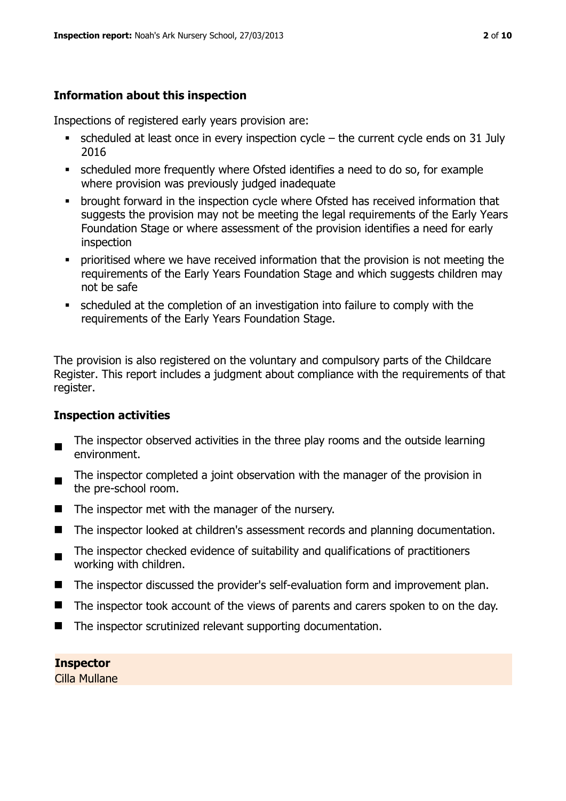# **Information about this inspection**

Inspections of registered early years provision are:

- $\blacksquare$  scheduled at least once in every inspection cycle the current cycle ends on 31 July 2016
- scheduled more frequently where Ofsted identifies a need to do so, for example where provision was previously judged inadequate
- **•** brought forward in the inspection cycle where Ofsted has received information that suggests the provision may not be meeting the legal requirements of the Early Years Foundation Stage or where assessment of the provision identifies a need for early inspection
- **•** prioritised where we have received information that the provision is not meeting the requirements of the Early Years Foundation Stage and which suggests children may not be safe
- scheduled at the completion of an investigation into failure to comply with the requirements of the Early Years Foundation Stage.

The provision is also registered on the voluntary and compulsory parts of the Childcare Register. This report includes a judgment about compliance with the requirements of that register.

# **Inspection activities**

- The inspector observed activities in the three play rooms and the outside learning environment.
- The inspector completed a joint observation with the manager of the provision in the pre-school room.
- $\blacksquare$  The inspector met with the manager of the nursery.
- The inspector looked at children's assessment records and planning documentation.
- $\blacksquare$ The inspector checked evidence of suitability and qualifications of practitioners working with children.
- The inspector discussed the provider's self-evaluation form and improvement plan.
- The inspector took account of the views of parents and carers spoken to on the day.
- The inspector scrutinized relevant supporting documentation.

**Inspector**  Cilla Mullane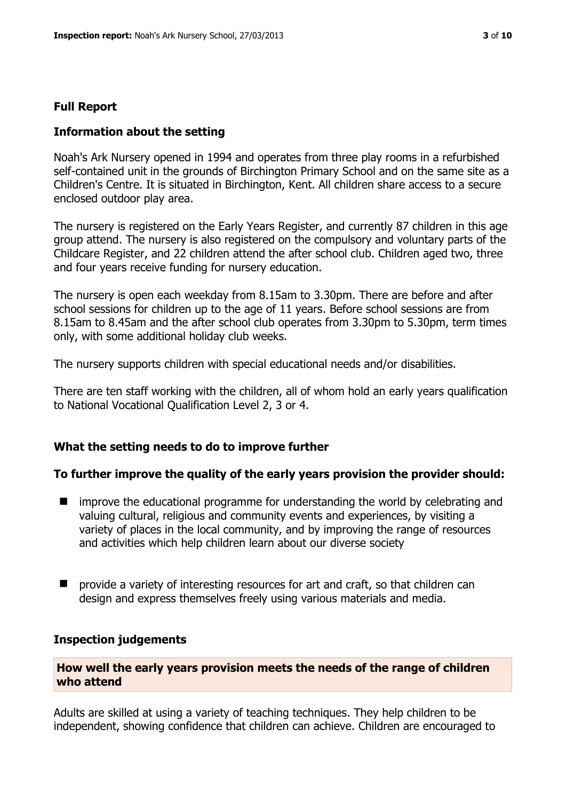# **Full Report**

# **Information about the setting**

Noah's Ark Nursery opened in 1994 and operates from three play rooms in a refurbished self-contained unit in the grounds of Birchington Primary School and on the same site as a Children's Centre. It is situated in Birchington, Kent. All children share access to a secure enclosed outdoor play area.

The nursery is registered on the Early Years Register, and currently 87 children in this age group attend. The nursery is also registered on the compulsory and voluntary parts of the Childcare Register, and 22 children attend the after school club. Children aged two, three and four years receive funding for nursery education.

The nursery is open each weekday from 8.15am to 3.30pm. There are before and after school sessions for children up to the age of 11 years. Before school sessions are from 8.15am to 8.45am and the after school club operates from 3.30pm to 5.30pm, term times only, with some additional holiday club weeks.

The nursery supports children with special educational needs and/or disabilities.

There are ten staff working with the children, all of whom hold an early years qualification to National Vocational Qualification Level 2, 3 or 4.

# **What the setting needs to do to improve further**

# **To further improve the quality of the early years provision the provider should:**

- $\blacksquare$  improve the educational programme for understanding the world by celebrating and valuing cultural, religious and community events and experiences, by visiting a variety of places in the local community, and by improving the range of resources and activities which help children learn about our diverse society
- provide a variety of interesting resources for art and craft, so that children can design and express themselves freely using various materials and media.

# **Inspection judgements**

#### **How well the early years provision meets the needs of the range of children who attend**

Adults are skilled at using a variety of teaching techniques. They help children to be independent, showing confidence that children can achieve. Children are encouraged to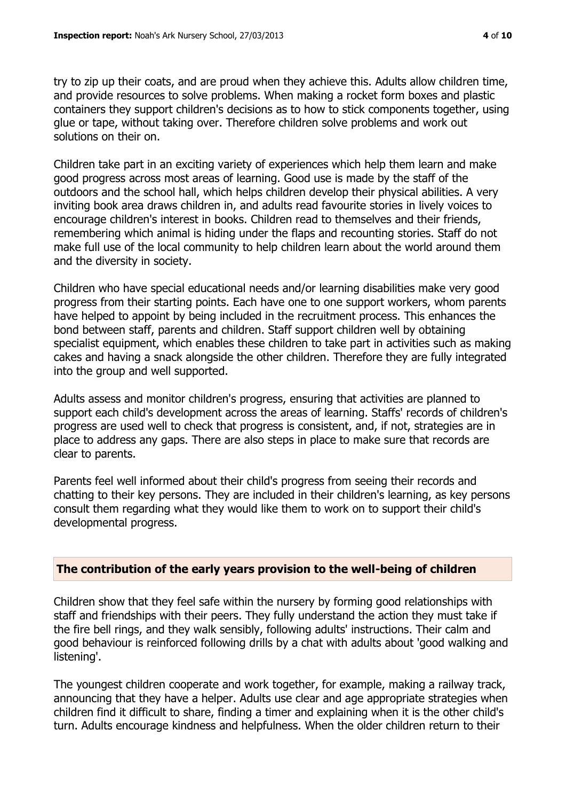try to zip up their coats, and are proud when they achieve this. Adults allow children time, and provide resources to solve problems. When making a rocket form boxes and plastic containers they support children's decisions as to how to stick components together, using glue or tape, without taking over. Therefore children solve problems and work out solutions on their on.

Children take part in an exciting variety of experiences which help them learn and make good progress across most areas of learning. Good use is made by the staff of the outdoors and the school hall, which helps children develop their physical abilities. A very inviting book area draws children in, and adults read favourite stories in lively voices to encourage children's interest in books. Children read to themselves and their friends, remembering which animal is hiding under the flaps and recounting stories. Staff do not make full use of the local community to help children learn about the world around them and the diversity in society.

Children who have special educational needs and/or learning disabilities make very good progress from their starting points. Each have one to one support workers, whom parents have helped to appoint by being included in the recruitment process. This enhances the bond between staff, parents and children. Staff support children well by obtaining specialist equipment, which enables these children to take part in activities such as making cakes and having a snack alongside the other children. Therefore they are fully integrated into the group and well supported.

Adults assess and monitor children's progress, ensuring that activities are planned to support each child's development across the areas of learning. Staffs' records of children's progress are used well to check that progress is consistent, and, if not, strategies are in place to address any gaps. There are also steps in place to make sure that records are clear to parents.

Parents feel well informed about their child's progress from seeing their records and chatting to their key persons. They are included in their children's learning, as key persons consult them regarding what they would like them to work on to support their child's developmental progress.

#### **The contribution of the early years provision to the well-being of children**

Children show that they feel safe within the nursery by forming good relationships with staff and friendships with their peers. They fully understand the action they must take if the fire bell rings, and they walk sensibly, following adults' instructions. Their calm and good behaviour is reinforced following drills by a chat with adults about 'good walking and listening'.

The youngest children cooperate and work together, for example, making a railway track, announcing that they have a helper. Adults use clear and age appropriate strategies when children find it difficult to share, finding a timer and explaining when it is the other child's turn. Adults encourage kindness and helpfulness. When the older children return to their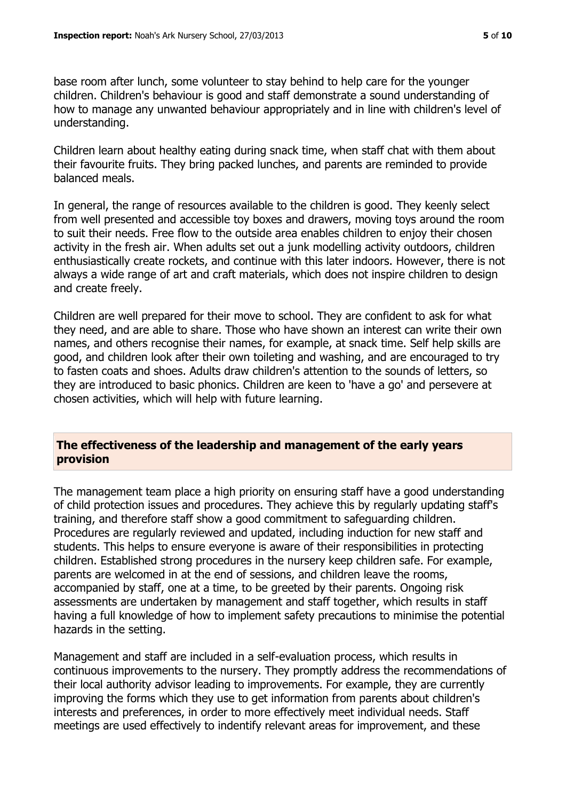base room after lunch, some volunteer to stay behind to help care for the younger children. Children's behaviour is good and staff demonstrate a sound understanding of how to manage any unwanted behaviour appropriately and in line with children's level of understanding.

Children learn about healthy eating during snack time, when staff chat with them about their favourite fruits. They bring packed lunches, and parents are reminded to provide balanced meals.

In general, the range of resources available to the children is good. They keenly select from well presented and accessible toy boxes and drawers, moving toys around the room to suit their needs. Free flow to the outside area enables children to enjoy their chosen activity in the fresh air. When adults set out a junk modelling activity outdoors, children enthusiastically create rockets, and continue with this later indoors. However, there is not always a wide range of art and craft materials, which does not inspire children to design and create freely.

Children are well prepared for their move to school. They are confident to ask for what they need, and are able to share. Those who have shown an interest can write their own names, and others recognise their names, for example, at snack time. Self help skills are good, and children look after their own toileting and washing, and are encouraged to try to fasten coats and shoes. Adults draw children's attention to the sounds of letters, so they are introduced to basic phonics. Children are keen to 'have a go' and persevere at chosen activities, which will help with future learning.

#### **The effectiveness of the leadership and management of the early years provision**

The management team place a high priority on ensuring staff have a good understanding of child protection issues and procedures. They achieve this by regularly updating staff's training, and therefore staff show a good commitment to safeguarding children. Procedures are regularly reviewed and updated, including induction for new staff and students. This helps to ensure everyone is aware of their responsibilities in protecting children. Established strong procedures in the nursery keep children safe. For example, parents are welcomed in at the end of sessions, and children leave the rooms, accompanied by staff, one at a time, to be greeted by their parents. Ongoing risk assessments are undertaken by management and staff together, which results in staff having a full knowledge of how to implement safety precautions to minimise the potential hazards in the setting.

Management and staff are included in a self-evaluation process, which results in continuous improvements to the nursery. They promptly address the recommendations of their local authority advisor leading to improvements. For example, they are currently improving the forms which they use to get information from parents about children's interests and preferences, in order to more effectively meet individual needs. Staff meetings are used effectively to indentify relevant areas for improvement, and these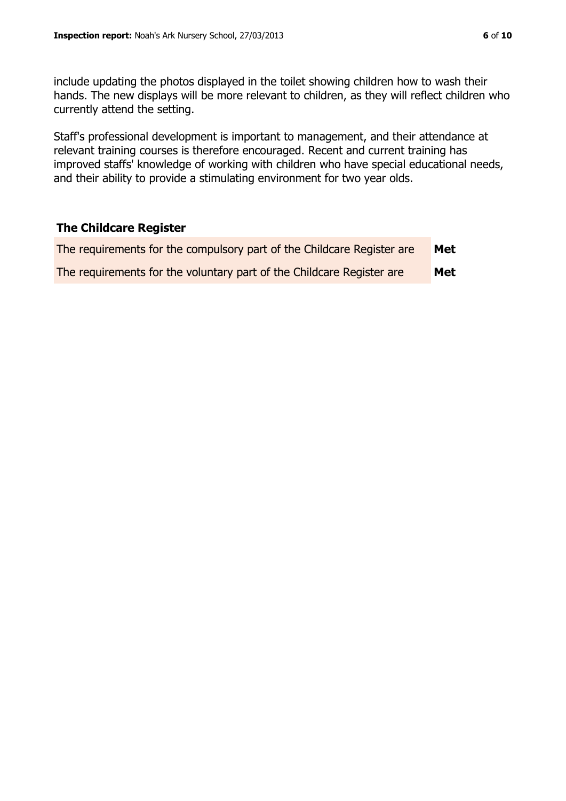Staff's professional development is important to management, and their attendance at relevant training courses is therefore encouraged. Recent and current training has improved staffs' knowledge of working with children who have special educational needs, and their ability to provide a stimulating environment for two year olds.

# **The Childcare Register**

| The requirements for the compulsory part of the Childcare Register are | Met |
|------------------------------------------------------------------------|-----|
| The requirements for the voluntary part of the Childcare Register are  | Met |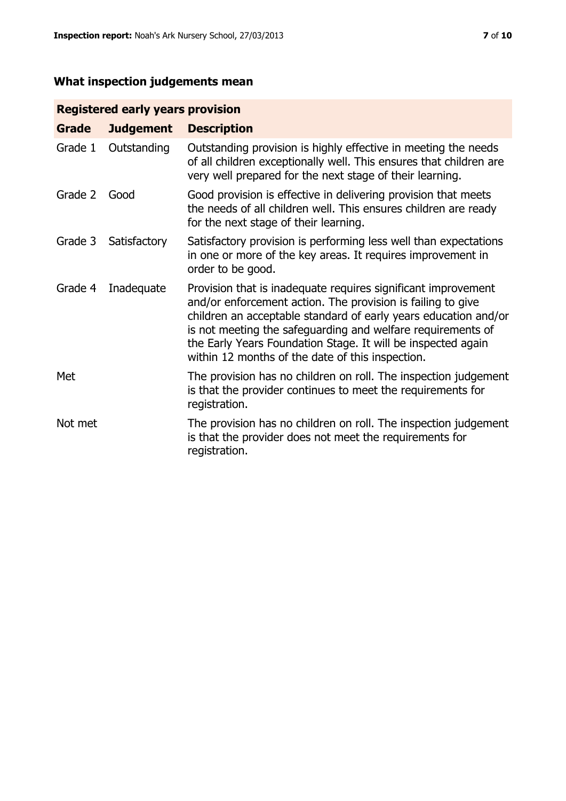# **What inspection judgements mean**

# **Registered early years provision**

| Grade   | <b>Judgement</b> | <b>Description</b>                                                                                                                                                                                                                                                                                                                                                                 |
|---------|------------------|------------------------------------------------------------------------------------------------------------------------------------------------------------------------------------------------------------------------------------------------------------------------------------------------------------------------------------------------------------------------------------|
| Grade 1 | Outstanding      | Outstanding provision is highly effective in meeting the needs<br>of all children exceptionally well. This ensures that children are<br>very well prepared for the next stage of their learning.                                                                                                                                                                                   |
| Grade 2 | Good             | Good provision is effective in delivering provision that meets<br>the needs of all children well. This ensures children are ready<br>for the next stage of their learning.                                                                                                                                                                                                         |
| Grade 3 | Satisfactory     | Satisfactory provision is performing less well than expectations<br>in one or more of the key areas. It requires improvement in<br>order to be good.                                                                                                                                                                                                                               |
| Grade 4 | Inadequate       | Provision that is inadequate requires significant improvement<br>and/or enforcement action. The provision is failing to give<br>children an acceptable standard of early years education and/or<br>is not meeting the safeguarding and welfare requirements of<br>the Early Years Foundation Stage. It will be inspected again<br>within 12 months of the date of this inspection. |
| Met     |                  | The provision has no children on roll. The inspection judgement<br>is that the provider continues to meet the requirements for<br>registration.                                                                                                                                                                                                                                    |
| Not met |                  | The provision has no children on roll. The inspection judgement<br>is that the provider does not meet the requirements for<br>registration.                                                                                                                                                                                                                                        |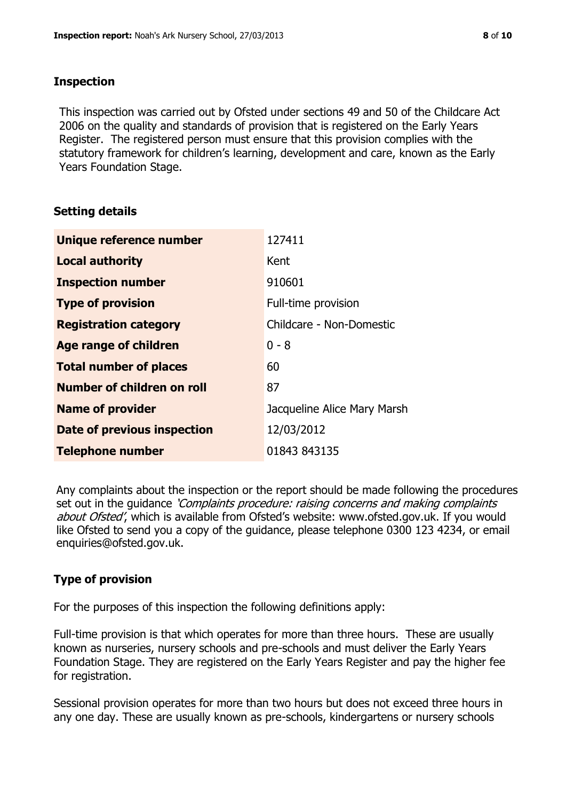#### **Inspection**

This inspection was carried out by Ofsted under sections 49 and 50 of the Childcare Act 2006 on the quality and standards of provision that is registered on the Early Years Register. The registered person must ensure that this provision complies with the statutory framework for children's learning, development and care, known as the Early Years Foundation Stage.

#### **Setting details**

| Unique reference number       | 127411                      |
|-------------------------------|-----------------------------|
| <b>Local authority</b>        | Kent                        |
| <b>Inspection number</b>      | 910601                      |
| <b>Type of provision</b>      | Full-time provision         |
| <b>Registration category</b>  | Childcare - Non-Domestic    |
| Age range of children         | $0 - 8$                     |
| <b>Total number of places</b> | 60                          |
| Number of children on roll    | 87                          |
| <b>Name of provider</b>       | Jacqueline Alice Mary Marsh |
| Date of previous inspection   | 12/03/2012                  |
| <b>Telephone number</b>       | 01843 843135                |

Any complaints about the inspection or the report should be made following the procedures set out in the guidance *'Complaints procedure: raising concerns and making complaints* about Ofsted', which is available from Ofsted's website: www.ofsted.gov.uk. If you would like Ofsted to send you a copy of the guidance, please telephone 0300 123 4234, or email enquiries@ofsted.gov.uk.

# **Type of provision**

For the purposes of this inspection the following definitions apply:

Full-time provision is that which operates for more than three hours. These are usually known as nurseries, nursery schools and pre-schools and must deliver the Early Years Foundation Stage. They are registered on the Early Years Register and pay the higher fee for registration.

Sessional provision operates for more than two hours but does not exceed three hours in any one day. These are usually known as pre-schools, kindergartens or nursery schools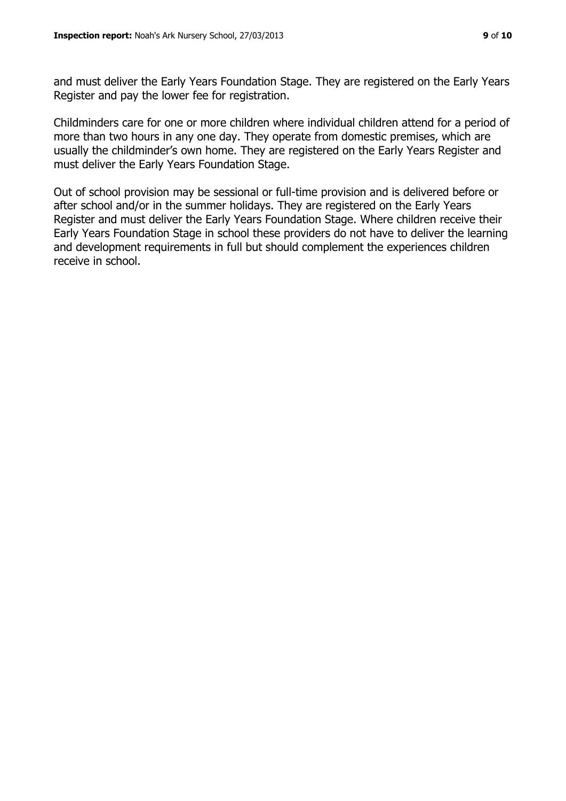and must deliver the Early Years Foundation Stage. They are registered on the Early Years Register and pay the lower fee for registration.

Childminders care for one or more children where individual children attend for a period of more than two hours in any one day. They operate from domestic premises, which are usually the childminder's own home. They are registered on the Early Years Register and must deliver the Early Years Foundation Stage.

Out of school provision may be sessional or full-time provision and is delivered before or after school and/or in the summer holidays. They are registered on the Early Years Register and must deliver the Early Years Foundation Stage. Where children receive their Early Years Foundation Stage in school these providers do not have to deliver the learning and development requirements in full but should complement the experiences children receive in school.